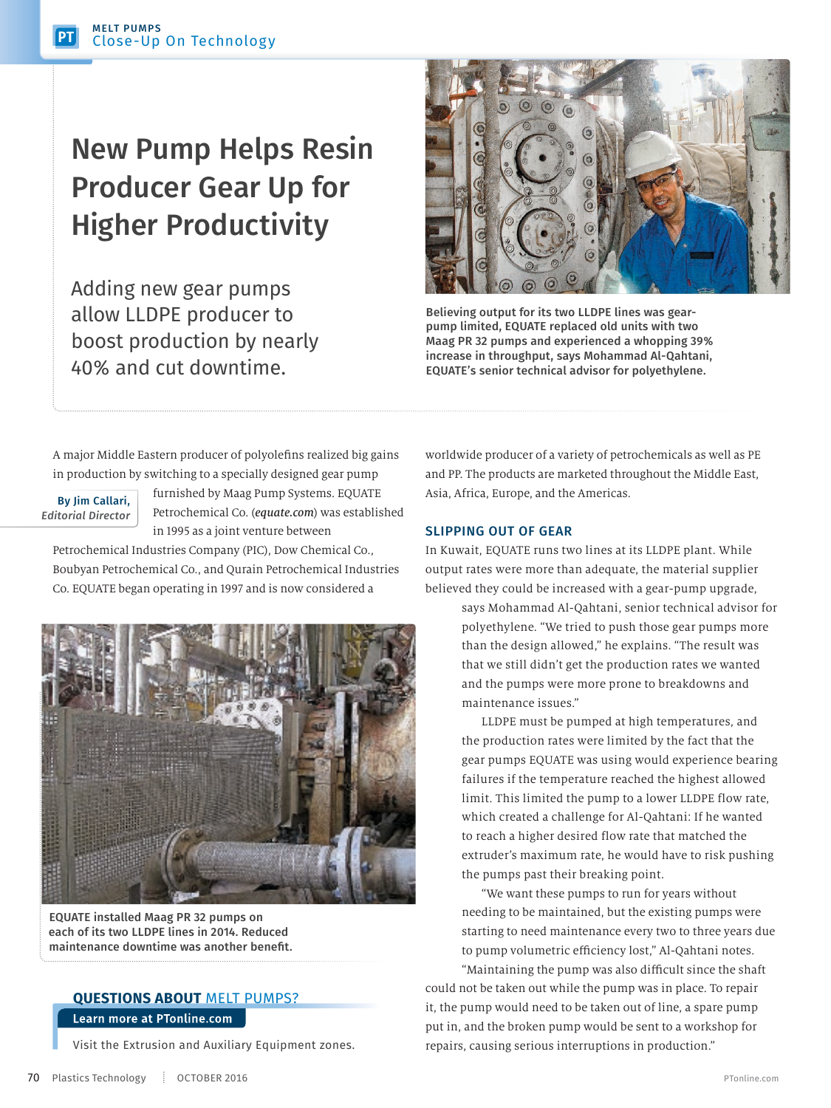## New Pump Helps Resin Producer Gear Up for Higher Productivity

Adding new gear pumps allow LLDPE producer to boost production by nearly 40% and cut downtime.



Believing output for its two LLDPE lines was gearpump limited, EQUATE replaced old units with two Maag PR 32 pumps and experienced a whopping 39% increase in throughput, says Mohammad Al-Qahtani, EQUATE's senior technical advisor for polyethylene.

A major Middle Eastern producer of polyolefins realized big gains in production by switching to a specially designed gear pump

## By Jim Callari, *Editorial Director*

furnished by Maag Pump Systems. EQUATE Petrochemical Co. (*equate.com*) was established in 1995 as a joint venture between

Petrochemical Industries Company (PIC), Dow Chemical Co., Boubyan Petrochemical Co., and Qurain Petrochemical Industries Co. EQUATE began operating in 1997 and is now considered a



EQUATE installed Maag PR 32 pumps on each of its two LLDPE lines in 2014. Reduced maintenance downtime was another benefit.

## **QUESTIONS ABOUT** MELT PUMPS? Learn more at PTonline.com

Visit the Extrusion and Auxiliary Equipment zones.

worldwide producer of a variety of petrochemicals as well as PE and PP. The products are marketed throughout the Middle East, Asia, Africa, Europe, and the Americas.

## SLIPPING OUT OF GEAR

In Kuwait, EQUATE runs two lines at its LLDPE plant. While output rates were more than adequate, the material supplier believed they could be increased with a gear-pump upgrade,

> says Mohammad Al-Qahtani, senior technical advisor for polyethylene. "We tried to push those gear pumps more than the design allowed," he explains. "The result was that we still didn't get the production rates we wanted and the pumps were more prone to breakdowns and maintenance issues."

> LLDPE must be pumped at high temperatures, and the production rates were limited by the fact that the gear pumps EQUATE was using would experience bearing failures if the temperature reached the highest allowed limit. This limited the pump to a lower LLDPE flow rate, which created a challenge for Al-Qahtani: If he wanted to reach a higher desired flow rate that matched the extruder's maximum rate, he would have to risk pushing the pumps past their breaking point.

> "We want these pumps to run for years without needing to be maintained, but the existing pumps were starting to need maintenance every two to three years due to pump volumetric efficiency lost," Al-Qahtani notes.

"Maintaining the pump was also difficult since the shaft could not be taken out while the pump was in place. To repair it, the pump would need to be taken out of line, a spare pump put in, and the broken pump would be sent to a workshop for repairs, causing serious interruptions in production."